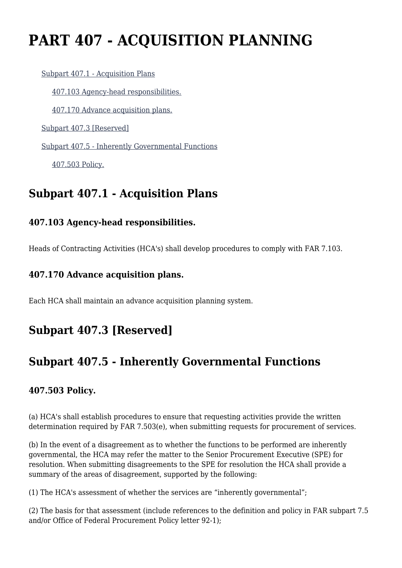# **PART 407 - ACQUISITION PLANNING**

 [Subpart 407.1 - Acquisition Plans](https://origin-www.acquisition.gov/%5Brp:link:agar-part-407%5D#Subpart_407_1_T48_4021281) [407.103 Agency-head responsibilities.](https://origin-www.acquisition.gov/%5Brp:link:agar-part-407%5D#Section_407_103_T48_402128111) [407.170 Advance acquisition plans.](https://origin-www.acquisition.gov/%5Brp:link:agar-part-407%5D#Section_407_170_T48_402128112) [Subpart 407.3 \[Reserved\]](https://origin-www.acquisition.gov/%5Brp:link:agar-part-407%5D#Subpart_407_3_T48_4021282) [Subpart 407.5 - Inherently Governmental Functions](https://origin-www.acquisition.gov/%5Brp:link:agar-part-407%5D#Subpart_407_5_T48_4021283) [407.503 Policy.](https://origin-www.acquisition.gov/%5Brp:link:agar-part-407%5D#Section_407_503_T48_402128311)

# **Subpart 407.1 - Acquisition Plans**

#### **407.103 Agency-head responsibilities.**

Heads of Contracting Activities (HCA's) shall develop procedures to comply with FAR 7.103.

#### **407.170 Advance acquisition plans.**

Each HCA shall maintain an advance acquisition planning system.

## **Subpart 407.3 [Reserved]**

## **Subpart 407.5 - Inherently Governmental Functions**

#### **407.503 Policy.**

(a) HCA's shall establish procedures to ensure that requesting activities provide the written determination required by FAR 7.503(e), when submitting requests for procurement of services.

(b) In the event of a disagreement as to whether the functions to be performed are inherently governmental, the HCA may refer the matter to the Senior Procurement Executive (SPE) for resolution. When submitting disagreements to the SPE for resolution the HCA shall provide a summary of the areas of disagreement, supported by the following:

(1) The HCA's assessment of whether the services are "inherently governmental";

(2) The basis for that assessment (include references to the definition and policy in FAR subpart 7.5 and/or Office of Federal Procurement Policy letter 92-1);